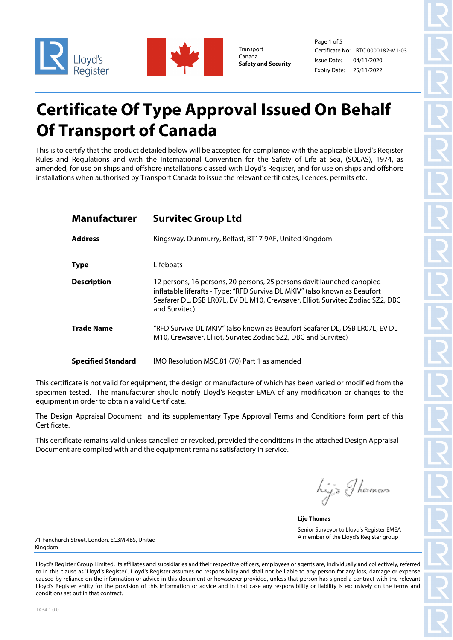

Canada **Safety and Security** 

Page 1 of 5 Certificate No: Transport LRTC 0000182-M1-03 Issue Date: Expiry Date: 25/11/2022 04/11/2020

# **Certificate Of Type Approval Issued On Behalf Of Transport of Canada**

This is to certify that the product detailed below will be accepted for compliance with the applicable Lloyd's Register Rules and Regulations and with the International Convention for the Safety of Life at Sea, (SOLAS), 1974, as amended, for use on ships and offshore installations classed with Lloyd's Register, and for use on ships and offshore installations when authorised by Transport Canada to issue the relevant certificates, licences, permits etc.

| <b>Manufacturer</b>       | <b>Survitec Group Ltd</b>                                                                                                                                                                                                                               |
|---------------------------|---------------------------------------------------------------------------------------------------------------------------------------------------------------------------------------------------------------------------------------------------------|
| <b>Address</b>            | Kingsway, Dunmurry, Belfast, BT17 9AF, United Kingdom                                                                                                                                                                                                   |
| <b>Type</b>               | Lifeboats                                                                                                                                                                                                                                               |
| <b>Description</b>        | 12 persons, 16 persons, 20 persons, 25 persons davit launched canopied<br>inflatable liferafts - Type: "RFD Surviva DL MKIV" (also known as Beaufort<br>Seafarer DL, DSB LR07L, EV DL M10, Crewsaver, Elliot, Survitec Zodiac SZ2, DBC<br>and Survitec) |
| <b>Trade Name</b>         | "RFD Surviva DL MKIV" (also known as Beaufort Seafarer DL, DSB LR07L, EV DL<br>M10, Crewsaver, Elliot, Survitec Zodiac SZ2, DBC and Survitec)                                                                                                           |
| <b>Specified Standard</b> | IMO Resolution MSC.81 (70) Part 1 as amended                                                                                                                                                                                                            |

This certificate is not valid for equipment, the design or manufacture of which has been varied or modified from the specimen tested. The manufacturer should notify Lloyd's Register EMEA of any modification or changes to the equipment in order to obtain a valid Certificate.

The Design Appraisal Document and its supplementary Type Approval Terms and Conditions form part of this Certificate.

This certificate remains valid unless cancelled or revoked, provided the conditions in the attached Design Appraisal Document are complied with and the equipment remains satisfactory in service.

hijs Thomas

**Lijo Thomas** Senior Surveyor to Lloyd's Register EMEA A member of the Lloyd's Register group

71 Fenchurch Street, London, EC3M 4BS, United Kingdom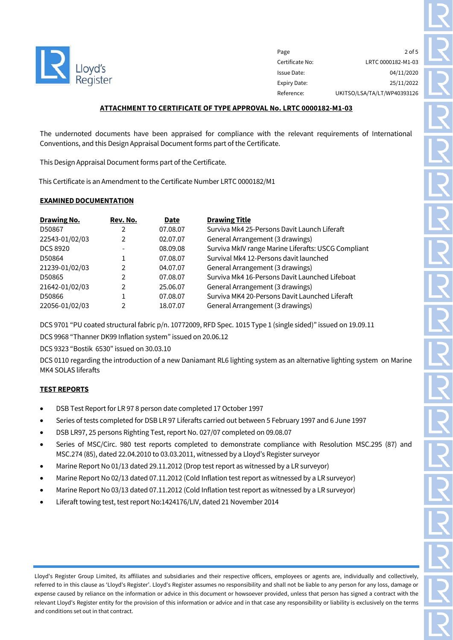

Page 2 of 5 Certificate No: LRTC 0000182-M1-03 Issue Date: 04/11/2020 Expiry Date: 25/11/2022 Reference: UKITSO/LSA/TA/LT/WP40393126

# **ATTACHMENT TO CERTIFICATE OF TYPE APPROVAL No. LRTC 0000182-M1-03**

The undernoted documents have been appraised for compliance with the relevant requirements of International Conventions, and this Design Appraisal Document forms part of the Certificate.

This Design Appraisal Document forms part of the Certificate.

This Certificate is an Amendment to the Certificate Number LRTC 0000182/M1

## **EXAMINED DOCUMENTATION**

| <b>Drawing No.</b> | Rev. No. | Date     | <b>Drawing Title</b>                                |
|--------------------|----------|----------|-----------------------------------------------------|
| D50867             |          | 07.08.07 | Surviva Mk4 25-Persons Davit Launch Liferaft        |
| 22543-01/02/03     | 2        | 02.07.07 | General Arrangement (3 drawings)                    |
| <b>DCS 8920</b>    |          | 08.09.08 | Surviva MkIV range Marine Liferafts: USCG Compliant |
| D50864             |          | 07.08.07 | Survival Mk4 12-Persons davit launched              |
| 21239-01/02/03     | 2        | 04.07.07 | General Arrangement (3 drawings)                    |
| D50865             | 2        | 07.08.07 | Surviva Mk4 16-Persons Davit Launched Lifeboat      |
| 21642-01/02/03     | 2        | 25.06.07 | General Arrangement (3 drawings)                    |
| D50866             |          | 07.08.07 | Surviva MK4 20-Persons Davit Launched Liferaft      |
| 22056-01/02/03     | C        | 18.07.07 | General Arrangement (3 drawings)                    |

DCS 9701 "PU coated structural fabric p/n. 10772009, RFD Spec. 1015 Type 1 (single sided)" issued on 19.09.11

DCS 9968 "Thanner DK99 Inflation system" issued on 20.06.12

DCS 9323 "Bostik 6530" issued on 30.03.10

DCS 0110 regarding the introduction of a new Daniamant RL6 lighting system as an alternative lighting system on Marine MK4 SOLAS liferafts

# **TEST REPORTS**

- DSB Test Report for LR 97 8 person date completed 17 October 1997
- Series of tests completed for DSB LR 97 Liferafts carried out between 5 February 1997 and 6 June 1997
- DSB LR97, 25 persons Righting Test, report No. 027/07 completed on 09.08.07
- Series of MSC/Circ. 980 test reports completed to demonstrate compliance with Resolution MSC.295 (87) and MSC.274 (85), dated 22.04.2010 to 03.03.2011, witnessed by a Lloyd's Register surveyor
- Marine Report No 01/13 dated 29.11.2012 (Drop test report as witnessed by a LR surveyor)
- Marine Report No 02/13 dated 07.11.2012 (Cold Inflation test report as witnessed by a LR surveyor)
- Marine Report No 03/13 dated 07.11.2012 (Cold Inflation test report as witnessed by a LR surveyor)
- Liferaft towing test, test report No:1424176/LIV, dated 21 November 2014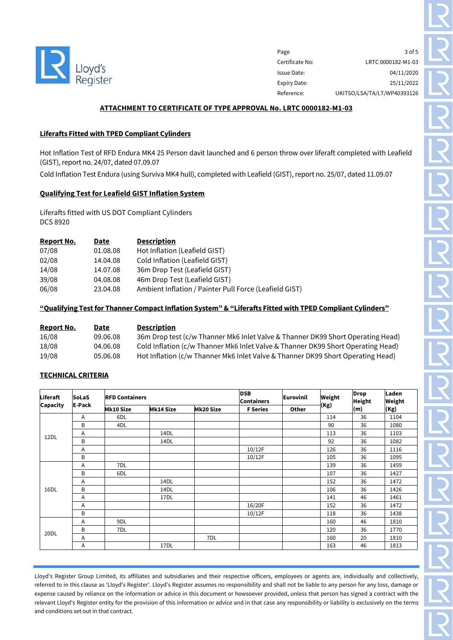

Page 3 of 5 Certificate No: LRTC 0000182-M1-03 Issue Date: 04/11/2020 Expiry Date: 25/11/2022 Reference: UKITSO/LSA/TA/LT/WP40393126

## **ATTACHMENT TO CERTIFICATE OF TYPE APPROVAL No. LRTC 0000182-M1-03**

# **Liferafts Fitted with TPED Compliant Cylinders**

Hot Inflation Test of RFD Endura MK4 25 Person davit launched and 6 person throw over liferaft completed with Leafield (GIST), report no. 24/07, dated 07.09.07

Cold Inflation Test Endura (using Surviva MK4 hull), completed with Leafield (GIST), report no. 25/07, dated 11.09.07

## **Qualifying Test for Leafield GIST Inflation System**

Liferafts fitted with US DOT Compliant Cylinders DCS 8920

| <b>Report No.</b> | Date     | <b>Description</b>                                     |
|-------------------|----------|--------------------------------------------------------|
| 07/08             | 01.08.08 | Hot Inflation (Leafield GIST)                          |
| 02/08             | 14.04.08 | Cold Inflation (Leafield GIST)                         |
| 14/08             | 14.07.08 | 36m Drop Test (Leafield GIST)                          |
| 39/08             | 04.08.08 | 46m Drop Test (Leafield GIST)                          |
| 06/08             | 23.04.08 | Ambient Inflation / Painter Pull Force (Leafield GIST) |

# **"Qualifying Test for Thanner Compact Inflation System" & "Liferafts Fitted with TPED Compliant Cylinders"**

| Report No. | Date     | <b>Description</b>                                                               |
|------------|----------|----------------------------------------------------------------------------------|
| 16/08      | 09.06.08 | 36m Drop test (c/w Thanner Mk6 Inlet Valve & Thanner DK99 Short Operating Head)  |
| 18/08      | 04.06.08 | Cold Inflation (c/w Thanner Mk6 Inlet Valve & Thanner DK99 Short Operating Head) |
| 19/08      | 05.06.08 | Hot Inflation (c/w Thanner Mk6 Inlet Valve & Thanner DK99 Short Operating Head)  |

# **TECHNICAL CRITERIA**

| Liferaft<br>Capacity | <b>SoLaS</b>   | <b>RFD Containers</b> |                  |                  | <b>DSB</b><br><b>Containers</b> | Eurovinil | <b>Weight</b> | <b>Drop</b><br><b>Height</b> | Laden<br><b>Weight</b> |
|----------------------|----------------|-----------------------|------------------|------------------|---------------------------------|-----------|---------------|------------------------------|------------------------|
|                      | E-Pack         | <b>Mk10 Size</b>      | <b>Mk14 Size</b> | <b>Mk20 Size</b> | <b>F</b> Series                 | Other     | (Kg)          | (m)                          | (Kg)                   |
|                      | Α              | 6DL                   |                  |                  |                                 |           | 114           | 36                           | 1104                   |
|                      | B              | 4DL                   |                  |                  |                                 |           | 90            | 36                           | 1080                   |
| 12DL                 | Α              |                       | 14DL             |                  |                                 |           | 113           | 36                           | 1103                   |
|                      | B              |                       | 14DL             |                  |                                 |           | 92            | 36                           | 1082                   |
|                      | $\overline{A}$ |                       |                  |                  | 10/12F                          |           | 126           | 36                           | 1116                   |
|                      | B              |                       |                  |                  | 10/12F                          |           | 105           | 36                           | 1095                   |
|                      | A              | 7DL                   |                  |                  |                                 |           | 139           | 36                           | 1459                   |
|                      | B              | 6DL                   |                  |                  |                                 |           | 107           | 36                           | 1427                   |
|                      | A              |                       | 14DL             |                  |                                 |           | 152           | 36                           | 1472                   |
| 16DL                 | B              |                       | 14DL             |                  |                                 |           | 106           | 36                           | 1426                   |
|                      | $\overline{A}$ |                       | 17DL             |                  |                                 |           | 141           | 46                           | 1461                   |
|                      | $\overline{A}$ |                       |                  |                  | 16/20F                          |           | 152           | 36                           | 1472                   |
|                      | B              |                       |                  |                  | 10/12F                          |           | 118           | 36                           | 1438                   |
| 20DL                 | A              | 9DL                   |                  |                  |                                 |           | 160           | 46                           | 1810                   |
|                      | В              | 7DL                   |                  |                  |                                 |           | 120           | 36                           | 1770                   |
|                      | A              |                       |                  | 7DL              |                                 |           | 160           | 20                           | 1810                   |
|                      | Α              |                       | 17DL             |                  |                                 |           | 163           | 46                           | 1813                   |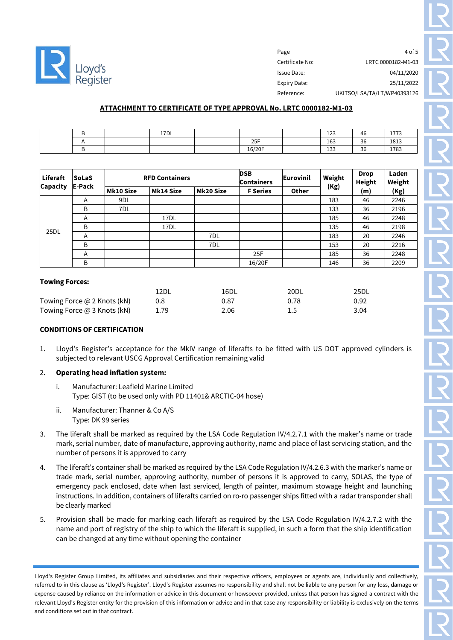

Page 4 of 5 Certificate No: LRTC 0000182-M1-03 Issue Date: 04/11/2020 Expiry Date: 25/11/2022 Reference: UKITSO/LSA/TA/LT/WP40393126

# **ATTACHMENT TO CERTIFICATE OF TYPE APPROVAL No. LRTC 0000182-M1-03**

|  | 17 <sub>DL</sub> |                 | $\overline{\phantom{a}}$<br>ᅭᆇ  | 46        | $- - - -$<br>- . |
|--|------------------|-----------------|---------------------------------|-----------|------------------|
|  |                  | 2E<br>دے        | 163                             | 36<br>- - | 1813             |
|  |                  | 6/20F<br>10/201 | $\overline{\phantom{a}}$<br>⊥ບບ | 36        | 1783             |

| Liferaft        | <b>SoLaS</b> | <b>RFD Containers</b> |                  |                  | <b>DSB</b><br>Containers | <b>Eurovinil</b> | Weight | <b>Drop</b><br>Height | Laden<br>Weight |
|-----------------|--------------|-----------------------|------------------|------------------|--------------------------|------------------|--------|-----------------------|-----------------|
| <b>Capacity</b> | E-Pack       | <b>Mk10 Size</b>      | <b>Mk14 Size</b> | <b>Mk20 Size</b> | <b>F</b> Series          | <b>Other</b>     | (Kg)   | (m)                   | (Kg)            |
|                 | A            | 9DL                   |                  |                  |                          |                  | 183    | 46                    | 2246            |
|                 | B            | 7DL                   |                  |                  |                          |                  | 133    | 36                    | 2196            |
| 25DL            | A            |                       | 17 <sub>DL</sub> |                  |                          |                  | 185    | 46                    | 2248            |
|                 | B            |                       | 17 <sub>DL</sub> |                  |                          |                  | 135    | 46                    | 2198            |
|                 | A            |                       |                  | 7DL              |                          |                  | 183    | 20                    | 2246            |
|                 | B            |                       |                  | 7DL              |                          |                  | 153    | 20                    | 2216            |
|                 | A            |                       |                  |                  | 25F                      |                  | 185    | 36                    | 2248            |
|                 | B            |                       |                  |                  | 16/20F                   |                  | 146    | 36                    | 2209            |

#### **Towing Forces:**

|                             | 12DL | 16DL | 20DL | 25DL |
|-----------------------------|------|------|------|------|
| Towing Force @ 2 Knots (kN) | 0.8  | 0.87 | 0.78 | 0.92 |
| Towing Force @ 3 Knots (kN) | 1.79 | 2.06 |      | 3.04 |

## **CONDITIONS OF CERTIFICATION**

1. Lloyd's Register's acceptance for the MkIV range of liferafts to be fitted with US DOT approved cylinders is subjected to relevant USCG Approval Certification remaining valid

## 2. **Operating head inflation system:**

- i. Manufacturer: Leafield Marine Limited Type: GIST (to be used only with PD 11401& ARCTIC-04 hose)
- ii. Manufacturer: Thanner & Co A/S Type: DK 99 series
- 3. The liferaft shall be marked as required by the LSA Code Regulation IV/4.2.7.1 with the maker's name or trade mark, serial number, date of manufacture, approving authority, name and place of last servicing station, and the number of persons it is approved to carry
- 4. The liferaft's container shall be marked as required by the LSA Code Regulation IV/4.2.6.3 with the marker's name or trade mark, serial number, approving authority, number of persons it is approved to carry, SOLAS, the type of emergency pack enclosed, date when last serviced, length of painter, maximum stowage height and launching instructions. In addition, containers of liferafts carried on ro-ro passenger ships fitted with a radar transponder shall be clearly marked
- 5. Provision shall be made for marking each liferaft as required by the LSA Code Regulation IV/4.2.7.2 with the name and port of registry of the ship to which the liferaft is supplied, in such a form that the ship identification can be changed at any time without opening the container